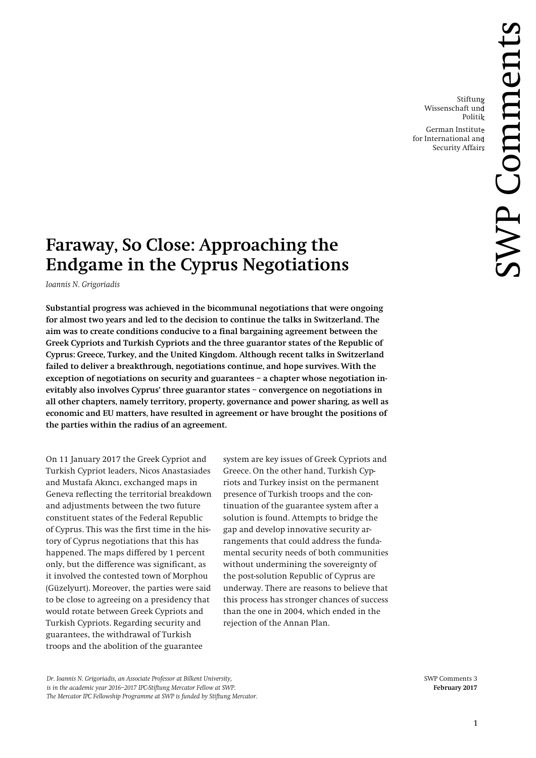Stiftung Wissenschaft und Politik

German Institute for International and Security Affairs

# **Faraway, So Close: Approaching the Endgame in the Cyprus Negotiations**

*Ioannis N. Grigoriadis*

**Substantial progress was achieved in the bicommunal negotiations that were ongoing for almost two years and led to the decision to continue the talks in Switzerland. The aim was to create conditions conducive to a final bargaining agreement between the Greek Cypriots and Turkish Cypriots and the three guarantor states of the Republic of Cyprus: Greece, Turkey, and the United Kingdom. Although recent talks in Switzerland failed to deliver a breakthrough, negotiations continue, and hope survives. With the exception of negotiations on security and guarantees – a chapter whose negotiation inevitably also involves Cyprus' three guarantor states – convergence on negotiations in all other chapters, namely territory, property, governance and power sharing, as well as economic and EU matters, have resulted in agreement or have brought the positions of the parties within the radius of an agreement.**

On 11 January 2017 the Greek Cypriot and Turkish Cypriot leaders, Nicos Anastasiades and Mustafa Akıncı, exchanged maps in Geneva reflecting the territorial breakdown and adjustments between the two future constituent states of the Federal Republic of Cyprus. This was the first time in the history of Cyprus negotiations that this has happened. The maps differed by 1 percent only, but the difference was significant, as it involved the contested town of Morphou (Güzelyurt). Moreover, the parties were said to be close to agreeing on a presidency that would rotate between Greek Cypriots and Turkish Cypriots. Regarding security and guarantees, the withdrawal of Turkish troops and the abolition of the guarantee

system are key issues of Greek Cypriots and Greece. On the other hand, Turkish Cypriots and Turkey insist on the permanent presence of Turkish troops and the continuation of the guarantee system after a solution is found. Attempts to bridge the gap and develop innovative security arrangements that could address the fundamental security needs of both communities without undermining the sovereignty of the post-solution Republic of Cyprus are underway. There are reasons to believe that this process has stronger chances of success than the one in 2004, which ended in the rejection of the Annan Plan.

*Dr. Ioannis N. Grigoriadis, an Associate Professor at Bilkent University,* SWP Comments 3 *is in the academic year 2016–2017 IPC-Stiftung Mercator Fellow at SWP.* **February 2017**  *The Mercator IPC Fellowship Programme at SWP is funded by Stiftung Mercator.*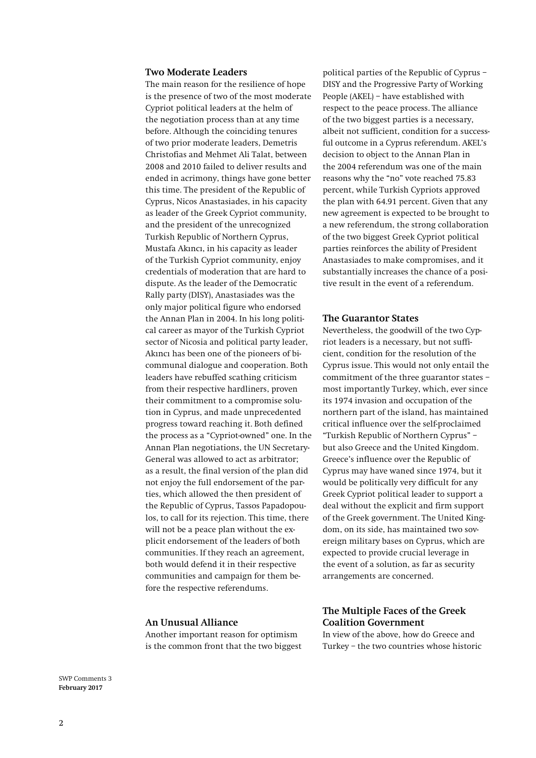### **Two Moderate Leaders**

The main reason for the resilience of hope is the presence of two of the most moderate Cypriot political leaders at the helm of the negotiation process than at any time before. Although the coinciding tenures of two prior moderate leaders, Demetris Christofias and Mehmet Ali Talat, between 2008 and 2010 failed to deliver results and ended in acrimony, things have gone better this time. The president of the Republic of Cyprus, Nicos Anastasiades, in his capacity as leader of the Greek Cypriot community, and the president of the unrecognized Turkish Republic of Northern Cyprus, Mustafa Akıncı, in his capacity as leader of the Turkish Cypriot community, enjoy credentials of moderation that are hard to dispute. As the leader of the Democratic Rally party (DISY), Anastasiades was the only major political figure who endorsed the Annan Plan in 2004. In his long political career as mayor of the Turkish Cypriot sector of Nicosia and political party leader, Akıncı has been one of the pioneers of bicommunal dialogue and cooperation. Both leaders have rebuffed scathing criticism from their respective hardliners, proven their commitment to a compromise solution in Cyprus, and made unprecedented progress toward reaching it. Both defined the process as a "Cypriot-owned" one. In the Annan Plan negotiations, the UN Secretary-General was allowed to act as arbitrator; as a result, the final version of the plan did not enjoy the full endorsement of the parties, which allowed the then president of the Republic of Cyprus, Tassos Papadopoulos, to call for its rejection. This time, there will not be a peace plan without the explicit endorsement of the leaders of both communities. If they reach an agreement, both would defend it in their respective communities and campaign for them before the respective referendums.

## **An Unusual Alliance**

Another important reason for optimism is the common front that the two biggest

political parties of the Republic of Cyprus – DISY and the Progressive Party of Working People (AKEL) – have established with respect to the peace process. The alliance of the two biggest parties is a necessary, albeit not sufficient, condition for a successful outcome in a Cyprus referendum. AKEL's decision to object to the Annan Plan in the 2004 referendum was one of the main reasons why the "no" vote reached 75.83 percent, while Turkish Cypriots approved the plan with 64.91 percent. Given that any new agreement is expected to be brought to a new referendum, the strong collaboration of the two biggest Greek Cypriot political parties reinforces the ability of President Anastasiades to make compromises, and it substantially increases the chance of a positive result in the event of a referendum.

#### **The Guarantor States**

Nevertheless, the goodwill of the two Cypriot leaders is a necessary, but not sufficient, condition for the resolution of the Cyprus issue. This would not only entail the commitment of the three guarantor states – most importantly Turkey, which, ever since its 1974 invasion and occupation of the northern part of the island, has maintained critical influence over the self-proclaimed "Turkish Republic of Northern Cyprus" – but also Greece and the United Kingdom. Greece's influence over the Republic of Cyprus may have waned since 1974, but it would be politically very difficult for any Greek Cypriot political leader to support a deal without the explicit and firm support of the Greek government. The United Kingdom, on its side, has maintained two sovereign military bases on Cyprus, which are expected to provide crucial leverage in the event of a solution, as far as security arrangements are concerned.

## **The Multiple Faces of the Greek Coalition Government**

In view of the above, how do Greece and Turkey – the two countries whose historic

SWP Comments 3 **February 2017**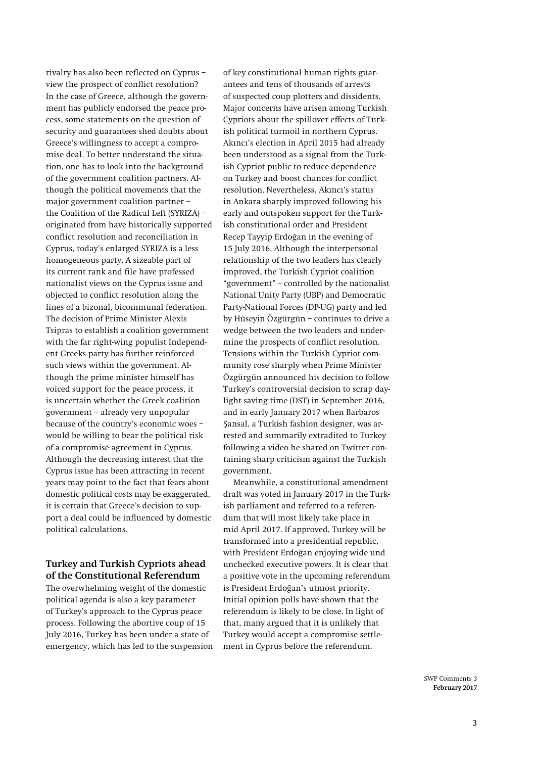rivalry has also been reflected on Cyprus – view the prospect of conflict resolution? In the case of Greece, although the government has publicly endorsed the peace process, some statements on the question of security and guarantees shed doubts about Greece's willingness to accept a compromise deal. To better understand the situation, one has to look into the background of the government coalition partners. Although the political movements that the major government coalition partner – the Coalition of the Radical Left (SYRIZA) – originated from have historically supported conflict resolution and reconciliation in Cyprus, today's enlarged SYRIZA is a less homogeneous party. A sizeable part of its current rank and file have professed nationalist views on the Cyprus issue and objected to conflict resolution along the lines of a bizonal, bicommunal federation. The decision of Prime Minister Alexis Tsipras to establish a coalition government with the far right-wing populist Independent Greeks party has further reinforced such views within the government. Although the prime minister himself has voiced support for the peace process, it is uncertain whether the Greek coalition government – already very unpopular because of the country's economic woes – would be willing to bear the political risk of a compromise agreement in Cyprus. Although the decreasing interest that the Cyprus issue has been attracting in recent years may point to the fact that fears about domestic political costs may be exaggerated, it is certain that Greece's decision to support a deal could be influenced by domestic political calculations.

## **Turkey and Turkish Cypriots ahead of the Constitutional Referendum**

The overwhelming weight of the domestic political agenda is also a key parameter of Turkey's approach to the Cyprus peace process. Following the abortive coup of 15 July 2016, Turkey has been under a state of emergency, which has led to the suspension

of key constitutional human rights guarantees and tens of thousands of arrests of suspected coup plotters and dissidents. Major concerns have arisen among Turkish Cypriots about the spillover effects of Turkish political turmoil in northern Cyprus. Akıncı's election in April 2015 had already been understood as a signal from the Turkish Cypriot public to reduce dependence on Turkey and boost chances for conflict resolution. Nevertheless, Akıncı's status in Ankara sharply improved following his early and outspoken support for the Turkish constitutional order and President Recep Tayyip Erdoğan in the evening of 15 July 2016. Although the interpersonal relationship of the two leaders has clearly improved, the Turkish Cypriot coalition "government" – controlled by the nationalist National Unity Party (UBP) and Democratic Party-National Forces (DP-UG) party and led by Hüseyin Özgürgün – continues to drive a wedge between the two leaders and undermine the prospects of conflict resolution. Tensions within the Turkish Cypriot community rose sharply when Prime Minister Özgürgün announced his decision to follow Turkey's controversial decision to scrap daylight saving time (DST) in September 2016, and in early January 2017 when Barbaros Şansal, a Turkish fashion designer, was arrested and summarily extradited to Turkey following a video he shared on Twitter containing sharp criticism against the Turkish government.

Meanwhile, a constitutional amendment draft was voted in January 2017 in the Turkish parliament and referred to a referendum that will most likely take place in mid April 2017. If approved, Turkey will be transformed into a presidential republic, with President Erdoğan enjoying wide und unchecked executive powers. It is clear that a positive vote in the upcoming referendum is President Erdoğan's utmost priority. Initial opinion polls have shown that the referendum is likely to be close. In light of that, many argued that it is unlikely that Turkey would accept a compromise settlement in Cyprus before the referendum.

> SWP Comments 3 **February 2017**